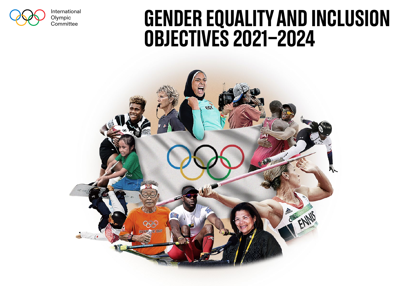

International Olympic<br>Committee

## International GENDER EQUALITY AND INCLUSION Objectives 2021-2024

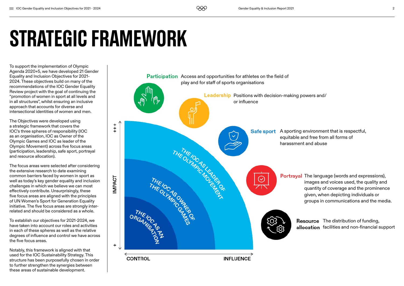# Strategic Framework

To support the implementation of Olympic Agenda 2020+5, we have developed 21 Gender Equality and Inclusion Objectives for 2021- 2024. These objectives build on many of the recommendations of the IOC Gender Equality Review project with the goal of continuing the "promotion of women in sport at all levels and in all structures", whilst ensuring an inclusive approach that accounts for diverse and intersectional identities of women and men.

The Objectives were developed using a strategic framework that covers the IOC's three spheres of responsibility (IOC as an organisation, IOC as Owner of the Olympic Games and IOC as leader of the Olympic Movement) across five focus areas (participation, leadership, safe sport, portrayal and resource allocation).

The focus areas were selected after considering the extensive research to date examining common barriers faced by women in sport as well as today's key gender equality and inclusion challenges in which we believe we can most effectively contribute. Unsurprisingly, these five focus areas are aligned with the principles of UN Women's Sport for Generation Equality initiative. The five focus areas are strongly interrelated and should be considered as a whole.

To establish our objectives for 2021-2024, we have taken into account our roles and activities in each of these spheres as well as the relative degrees of influence and control we have across the five focus areas.

Notably, this framework is aligned with that used for the IOC Sustainability Strategy. This structure has been purposefully chosen in order to further strengthen the synergies between these areas of sustainable development.

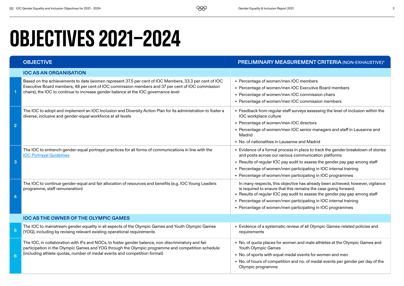## Objectives 2021-2024

|                 | <b>OBJECTIVE</b>                                                                                                                                                                                                                                                                                 | PRELIMINARY MEASUREMENT CRITERIA (NON-EXHAUSTIVE)*                                                                                                                                                                                                                                                                                                                |
|-----------------|--------------------------------------------------------------------------------------------------------------------------------------------------------------------------------------------------------------------------------------------------------------------------------------------------|-------------------------------------------------------------------------------------------------------------------------------------------------------------------------------------------------------------------------------------------------------------------------------------------------------------------------------------------------------------------|
|                 | <b>IOC AS AN ORGANISATION</b>                                                                                                                                                                                                                                                                    |                                                                                                                                                                                                                                                                                                                                                                   |
|                 | Based on the achievements to date (women represent 37.5 per cent of IOC Members, 33.3 per cent of IOC<br>Executive Board members, 48 per cent of IOC commission members and 37 per cent of IOC commission<br>chairs), the IOC to continue to increase gender balance at the IOC governance level | • Percentage of women/men IOC members<br>• Percentage of women/men IOC Executive Board members<br>• Percentage of women/men IOC commission chairs<br>• Percentage of women/men IOC commission members                                                                                                                                                             |
| $\overline{2}$  | The IOC to adopt and implement an IOC Inclusion and Diversity Action Plan for its administration to foster a<br>diverse, inclusive and gender-equal workforce at all levels                                                                                                                      | • Feedback from regular staff surveys assessing the level of inclusion within the<br>IOC workplace culture<br>• Percentage of women/men IOC directors<br>• Percentage of women/men IOC senior managers and staff in Lausanne and<br>Madrid<br>• No. of nationalities in Lausanne and Madrid                                                                       |
| 3               | The IOC to entrench gender-equal portrayal practices for all forms of communications in line with the<br><b>IOC Portrayal Guidelines</b>                                                                                                                                                         | • Evidence of a formal process in place to track the gender breakdown of stories<br>and posts across our various communication platforms<br>• Results of regular IOC pay audit to assess the gender pay gap among staff<br>• Percentage of women/men participating in IOC internal training<br>• Percentage of women/men participating in IOC programmes          |
| 4               | The IOC to continue gender-equal and fair allocation of resources and benefits (e.g. IOC Young Leaders<br>programme, staff remuneration)                                                                                                                                                         | In many respects, this objective has already been achieved; however, vigilance<br>is required to ensure that this remains the case going forward.<br>• Results of regular IOC pay audit to assess the gender pay gap among staff<br>• Percentage of women/men participating in IOC internal training<br>• Percentage of women/men participating in IOC programmes |
|                 | IOC AS THE OWNER OF THE OLYMPIC GAMES                                                                                                                                                                                                                                                            |                                                                                                                                                                                                                                                                                                                                                                   |
| $5\overline{5}$ | The IOC to mainstream gender equality in all aspects of the Olympic Games and Youth Olympic Games<br>(YOG), including by revising relevant existing operational requirements                                                                                                                     | • Evidence of a systematic review of all Olympic Games-related policies and<br>requirements                                                                                                                                                                                                                                                                       |
| 6               | The IOC, in collaboration with IFs and NOCs, to foster gender balance, non-discriminatory and fair<br>participation in the Olympic Games and YOG through the Olympic programme and competition schedule<br>(including athlete quotas, number of medal events and competition format)             | • No. of quota places for women and male athletes at the Olympic Games and<br>Youth Olympic Games<br>• No. of sports with equal medal events for women and men<br>• No. of hours of competition and no. of medal events per gender per day of the<br>Olympic programme                                                                                            |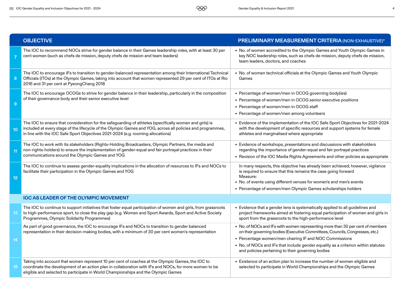|                 | <b>OBJECTIVE</b>                                                                                                                                                                                                                                                                                         | PRELIMINARY MEASUREMENT CRITERIA (NON-EXHAUSTIVE)*                                                                                                                                                                                                                                                                                                                 |
|-----------------|----------------------------------------------------------------------------------------------------------------------------------------------------------------------------------------------------------------------------------------------------------------------------------------------------------|--------------------------------------------------------------------------------------------------------------------------------------------------------------------------------------------------------------------------------------------------------------------------------------------------------------------------------------------------------------------|
|                 | The IOC to recommend NOCs strive for gender balance in their Games leadership roles, with at least 30 per<br>cent women (such as chefs de mission, deputy chefs de mission and team leaders)                                                                                                             | • No. of women accredited to the Olympic Games and Youth Olympic Games in<br>key NOC leadership roles, such as chefs de mission, deputy chefs de mission,<br>team leaders, doctors, and coaches                                                                                                                                                                    |
| 8               | The IOC to encourage IFs to transition to gender-balanced representation among their International Technical<br>Officials (ITOs) at the Olympic Games, taking into account that women represented 29 per cent of ITOs at Rio<br>2016 and 31 per cent at PyeongChang 2018                                 | • No. of women technical officials at the Olympic Games and Youth Olympic<br>Games                                                                                                                                                                                                                                                                                 |
| $\overline{9}$  | The IOC to encourage OCOGs to strive for gender balance in their leadership, particularly in the composition<br>of their governance body and their senior executive level                                                                                                                                | • Percentage of women/men in OCOG governing body(ies)<br>• Percentage of women/men in OCOG senior executive positions<br>• Percentage of women/men in OCOG staff<br>• Percentage of women/men among volunteers                                                                                                                                                     |
| 10              | The IOC to ensure that consideration for the safeguarding of athletes (specifically women and girls) is<br>included at every stage of the lifecycle of the Olympic Games and YOG, across all policies and programmes,<br>in line with the IOC Safe Sport Objectives 2021-2024 (e.g. rooming allocations) | • Evidence of the implementation of the IOC Safe Sport Objectives for 2021-2024<br>with the development of specific resources and support systems for female<br>athletes and marginalised where appropriate                                                                                                                                                        |
| 11              | The IOC to work with its stakeholders (Rights-Holding Broadcasters, Olympic Partners, the media and<br>non-rights-holders) to ensure the implementation of gender-equal and fair portrayal practices in their<br>communications around the Olympic Games and YOG                                         | • Evidence of workshops, presentations and discussions with stakeholders<br>regarding the importance of gender-equal and fair portrayal practices<br>• Revision of the IOC Media Rights Agreements and other policies as appropriate                                                                                                                               |
| 12 <sub>2</sub> | The IOC to continue to assess gender-equality implications in the allocation of resources to IFs and NOCs to<br>facilitate their participation in the Olympic Games and YOG                                                                                                                              | In many respects, this objective has already been achieved; however, vigilance<br>is required to ensure that this remains the case going forward<br>Measure:<br>• No. of events using different venues for women's and men's events<br>• Percentage of women/men Olympic Games scholarships holders                                                                |
|                 | <b>IOC AS LEADER OF THE OLYMPIC MOVEMENT</b>                                                                                                                                                                                                                                                             |                                                                                                                                                                                                                                                                                                                                                                    |
| 13              | The IOC to continue to support initiatives that foster equal participation of women and girls, from grassroots<br>to high-performance sport, to close the play gap (e.g. Women and Sport Awards, Sport and Active Society<br>Programmes, Olympic Solidarity Programmes)                                  | • Evidence that a gender lens is systematically applied to all guidelines and<br>project frameworks aimed at fostering equal participation of women and girls in<br>sport from the grassroots to the high-performance level                                                                                                                                        |
| 14              | As part of good governance, the IOC to encourage IFs and NOCs to transition to gender balanced<br>representation in their decision-making bodies, with a minimum of 30 per cent women's representation                                                                                                   | • No. of NOCs and IFs with women representing more than 30 per cent of members<br>on their governing bodies (Executive Committees, Councils, Congresses, etc.)<br>• Percentage women/men chairing IF and NOC Commissions<br>• No. of NOCs and IFs that include gender equality as a criterion within statutes<br>and policies pertaining to their governing bodies |
| 15              | Taking into account that women represent 10 per cent of coaches at the Olympic Games, the IOC to<br>coordinate the development of an action plan in collaboration with IFs and NOCs, for more women to be<br>eligible and selected to participate in World Championships and the Olympic Games           | • Existence of an action plan to increase the number of women eligible and<br>selected to participate in World Championships and the Olympic Games                                                                                                                                                                                                                 |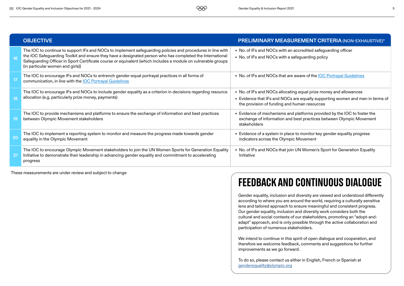|                 | <b>OBJECTIVE</b>                                                                                                                                                                                                                                                                                                                                                            | <b>PRELIMINARY MEASUREMENT CRITERIA (NON-EXHAUSTIVE)*</b>                                                                                                                                          |
|-----------------|-----------------------------------------------------------------------------------------------------------------------------------------------------------------------------------------------------------------------------------------------------------------------------------------------------------------------------------------------------------------------------|----------------------------------------------------------------------------------------------------------------------------------------------------------------------------------------------------|
|                 | The IOC to continue to support IFs and NOCs to implement safeguarding policies and procedures in line with<br>the IOC Safeguarding Toolkit and ensure they have a designated person who has completed the International<br>Safeguarding Officer in Sport Certificate course or equivalent (which includes a module on vulnerable groups<br>(in particular women and girls)) | • No. of IFs and NOCs with an accredited safeguarding officer<br>• No. of IFs and NOCs with a safeguarding policy                                                                                  |
| $\overline{17}$ | The IOC to encourage IFs and NOCs to entrench gender-equal portrayal practices in all forms of<br>communication, in line with the IOC Portrayal Guidelines                                                                                                                                                                                                                  | • No. of IFs and NOCs that are aware of the <b>IOC Portrayal Guidelines</b>                                                                                                                        |
|                 | The IOC to encourage IFs and NOCs to include gender equality as a criterion in decisions regarding resource<br>allocation (e.g. particularly prize money, payments)                                                                                                                                                                                                         | • No. of IFs and NOCs allocating equal prize money and allowances<br>• Evidence that IFs and NOCs are equally supporting women and men in terms of<br>the provision of funding and human resources |
|                 | The IOC to provide mechanisms and platforms to ensure the exchange of information and best practices<br>between Olympic Movement stakeholders                                                                                                                                                                                                                               | • Evidence of mechanisms and platforms provided by the IOC to foster the<br>exchange of information and best practices between Olympic Movement<br>stakeholders                                    |
| 20              | The IOC to implement a reporting system to monitor and measure the progress made towards gender<br>equality in the Olympic Movement                                                                                                                                                                                                                                         | Evidence of a system in place to monitor key gender equality progress<br>indicators across the Olympic Movement                                                                                    |
| 2 <sup>1</sup>  | The IOC to encourage Olympic Movement stakeholders to join the UN Women Sports for Generation Equality<br>Initiative to demonstrate their leadership in advancing gender equality and commitment to accelerating<br>progress                                                                                                                                                | • No. of IFs and NOCs that join UN Women's Sport for Generation Equality<br>Initiative                                                                                                             |

These measurements are under review and subject to change

### Feedback and continuous dialogue

Gender equality, inclusion and diversity are viewed and understood differently according to where you are around the world, requiring a culturally sensitive lens and tailored approach to ensure meaningful and consistent progress. Our gender equality, inclusion and diversity work considers both the cultural and social contexts of our stakeholders, promoting an "adopt-andadapt" approach, and is only possible through the active collaboration and participation of numerous stakeholders.

We intend to continue in this spirit of open dialogue and cooperation, and therefore we welcome feedback, comments and suggestions for further improvements as we go forward.

To do so, please contact us either in English, French or Spanish at [genderequality@olympic.org](http://genderequality@olympic.org)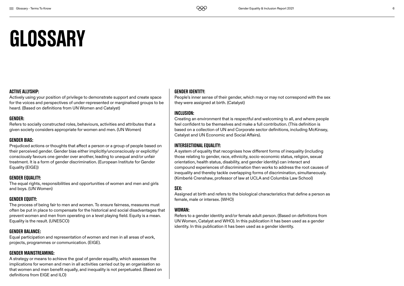## **GLOSSARY**

#### Active Allyship:

Actively using your position of privilege to demonstrate support and create space for the voices and perspectives of under-represented or marginalised groups to be heard. (Based on definitions from UN Women and Catalyst)

#### Gender:

Refers to socially constructed roles, behaviours, activities and attributes that a given society considers appropriate for women and men. (UN Women)

#### Gender Bias:

Prejudiced actions or thoughts that affect a person or a group of people based on their perceived gender. Gender bias either implicitly/unconsciously or explicitly/ consciously favours one gender over another, leading to unequal and/or unfair treatment. It is a form of gender discrimination. (European Institute for Gender Equality (EIGE))

#### Gender Equality:

The equal rights, responsibilities and opportunities of women and men and girls and boys. (UN Women)

#### Gender Equity:

The process of being fair to men and women. To ensure fairness, measures must often be put in place to compensate for the historical and social disadvantages that prevent women and men from operating on a level playing field. Equity is a mean. Equality is the result. (UNESCO)

#### Gender Balance:

Equal participation and representation of women and men in all areas of work, projects, programmes or communication. (EIGE).

#### Gender Mainstreaming:

A strategy or means to achieve the goal of gender equality, which assesses the implications for women and men in all activities carried out by an organisation so that women and men benefit equally, and inequality is not perpetuated. (Based on definitions from EIGE and ILO)

#### Gender Identity:

People's inner sense of their gender, which may or may not correspond with the sex they were assigned at birth. (Catalyst)

#### Inclusion:

Creating an environment that is respectful and welcoming to all, and where people feel confident to be themselves and make a full contribution. (This definition is based on a collection of UN and Corporate sector definitions, including McKinsey, Catalyst and UN Economic and Social Affairs).

#### Intersectional Equality:

A system of equality that recognises how different forms of inequality (including those relating to gender, race, ethnicity, socio-economic status, religion, sexual orientation, health status, disability, and gender identity) can interact and compound experiences of discrimination then works to address the root causes of inequality and thereby tackle overlapping forms of discrimination, simultaneously. (Kimberlé Crenshaw, professor of law at UCLA and Columbia Law School)

### Sex:

Assigned at birth and refers to the biological characteristics that define a person as female, male or intersex. (WHO)

#### WOMAN-

Refers to a gender identity and/or female adult person. (Based on definitions from UN Women, Catalyst and WHO). In this publication it has been used as a gender identity. In this publication it has been used as a gender identity.